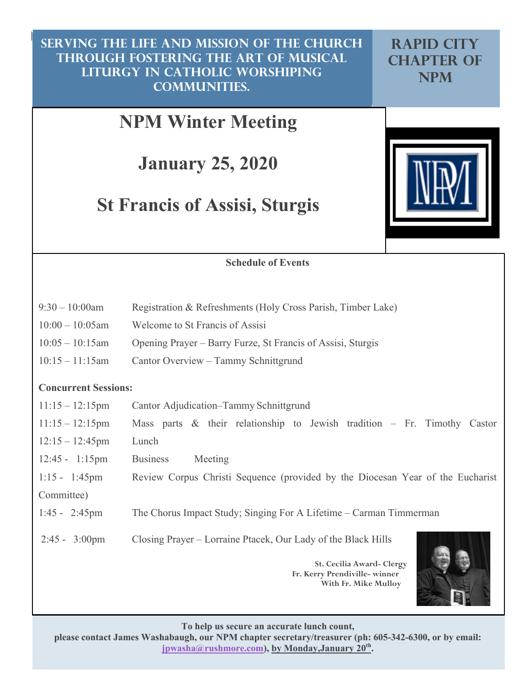$\sim$ **Serving the life and mission of the church Serving the life and mission of the church through fostering the art of musical through fostering the art of musical liturgy in Catholic worshiping liturgy in Catholic worshiping communities. communities. SERVING THE LIFE AND MISSION OF THE CHURCH RAPID CITY<br>THROUGH FOSTERING THE ART OF MUSICAL CHAPTER OF LITURGY IN CATHOLIC WORSHIPING NPM** 

# **NPM Winter Meeting**

**January 25, 2020**

# **St Francis of Assisi, Sturgis**



#### **Schedule of Events**

| $9:30-10:00$ am    | Registration & Refreshments (Holy Cross Parish, Timber Lake) |
|--------------------|--------------------------------------------------------------|
| $10:00 - 10:05$ am | Welcome to St Francis of Assisi                              |
| $10:05 - 10:15$ am | Opening Prayer – Barry Furze, St Francis of Assisi, Sturgis  |
| $10:15-11:15$ am   | Cantor Overview – Tammy Schnittgrund                         |

#### **Concurrent Sessions:**

| $11:15 - 12:15$ pm       | Cantor Adjudication–Tammy Schnittgrund                                         |
|--------------------------|--------------------------------------------------------------------------------|
| $11:15 - 12:15$ pm       | Mass parts $\&$ their relationship to Jewish tradition – Fr. Timothy Castor    |
| $12:15 - 12:45$ pm       | Lunch                                                                          |
| $12:45 - 1:15 \text{pm}$ | <b>Business</b><br>Meeting                                                     |
| $1:15 - 1:45$ pm         | Review Corpus Christi Sequence (provided by the Diocesan Year of the Eucharist |
| Committee)               |                                                                                |
| $1:45 - 2:45 \text{pm}$  | The Chorus Impact Study; Singing For A Lifetime – Carman Timmerman             |
| $2:45 - 3:00 \text{pm}$  | Closing Prayer – Lorraine Ptacek, Our Lady of the Black Hills                  |
|                          | St. Cecilia Award- Clergy<br>Fr. Kerry Prendiville-winner                      |

**With Fr. Mike Mulloy**



**To help us secure an accurate lunch count,** 

**please contact James Washabaugh, our NPM chapter secretary/treasurer (ph: 605-342-6300, or by email:**  jpwasha@rushmore.com), by Monday,January 20<sup>th</sup>.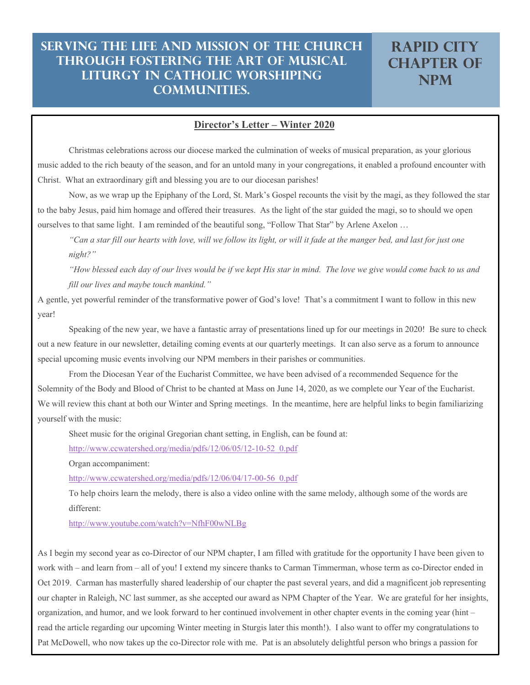#### **Director's Letter – Winter 2020**

Christmas celebrations across our diocese marked the culmination of weeks of musical preparation, as your glorious music added to the rich beauty of the season, and for an untold many in your congregations, it enabled a profound encounter with Christ. What an extraordinary gift and blessing you are to our diocesan parishes!

Now, as we wrap up the Epiphany of the Lord, St. Mark's Gospel recounts the visit by the magi, as they followed the star to the baby Jesus, paid him homage and offered their treasures. As the light of the star guided the magi, so to should we open ourselves to that same light. I am reminded of the beautiful song, "Follow That Star" by Arlene Axelon …

*"Can a star fill our hearts with love, will we follow its light, or will it fade at the manger bed, and last for just one night?"*

*"How blessed each day of our lives would be if we kept His star in mind. The love we give would come back to us and fill our lives and maybe touch mankind."*

A gentle, yet powerful reminder of the transformative power of God's love! That's a commitment I want to follow in this new year!

Speaking of the new year, we have a fantastic array of presentations lined up for our meetings in 2020! Be sure to check out a new feature in our newsletter, detailing coming events at our quarterly meetings. It can also serve as a forum to announce special upcoming music events involving our NPM members in their parishes or communities.

From the Diocesan Year of the Eucharist Committee, we have been advised of a recommended Sequence for the Solemnity of the Body and Blood of Christ to be chanted at Mass on June 14, 2020, as we complete our Year of the Eucharist. We will review this chant at both our Winter and Spring meetings. In the meantime, here are helpful links to begin familiarizing yourself with the music:

Sheet music for the original Gregorian chant setting, in English, can be found at:

learning and sharing opportunities to both educate and nourish music ministers.

http://www.ccwatershed.org/media/pdfs/12/06/05/12-10-52\_0.pdf

Organ accompaniment:

http://www.ccwatershed.org/media/pdfs/12/06/04/17-00-56\_0.pdf

To help choirs learn the melody, there is also a video online with the same melody, although some of the words are different:

http://www.youtube.com/watch?v=NfhF00wNLBg

As I begin my second year as co-Director of our NPM chapter, I am filled with gratitude for the opportunity I have been given to work with – and learn from – all of you! I extend my sincere thanks to Carman Timmerman, whose term as co-Director ended in Oct 2019. Carman has masterfully shared leadership of our chapter the past several years, and did a magnificent job representing our chapter in Raleigh, NC last summer, as she accepted our award as NPM Chapter of the Year. We are grateful for her insights, organization, and humor, and we look forward to her continued involvement in other chapter events in the coming year (hint – read the article regarding our upcoming Winter meeting in Sturgis later this month!). I also want to offer my congratulations to Pat McDowell, who now takes up the co-Director role with me. Pat is an absolutely delightful person who brings a passion for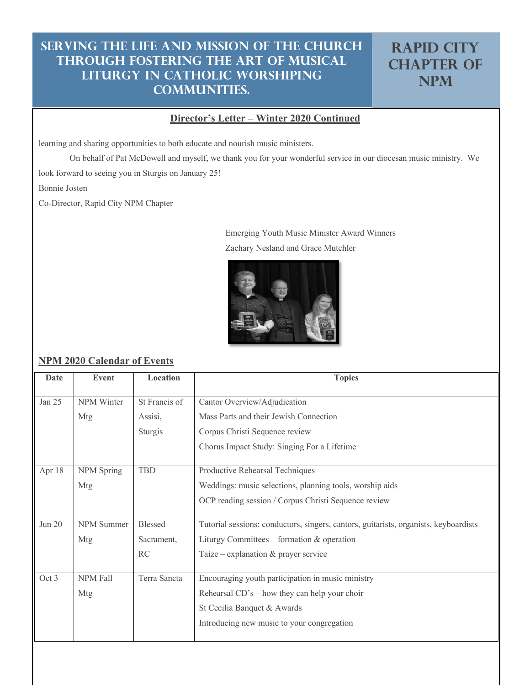## **Rapid City CHAPTER OF NPM**

#### **Director's Letter – Winter 2020 Continued**

learning and sharing opportunities to both educate and nourish music ministers.

On behalf of Pat McDowell and myself, we thank you for your wonderful service in our diocesan music ministry. We

look forward to seeing you in Sturgis on January 25!

Bonnie Josten

Co-Director, Rapid City NPM Chapter

Emerging Youth Music Minister Award Winners Zachary Nesland and Grace Mutchler



#### **NPM 2020 Calendar of Events**

| Date     | Event             | Location       | <b>Topics</b>                                                                        |
|----------|-------------------|----------------|--------------------------------------------------------------------------------------|
|          |                   |                |                                                                                      |
| Jan $25$ | NPM Winter        | St Francis of  | Cantor Overview/Adjudication                                                         |
|          | Mtg               | Assisi,        | Mass Parts and their Jewish Connection                                               |
|          |                   | Sturgis        | Corpus Christi Sequence review                                                       |
|          |                   |                | Chorus Impact Study: Singing For a Lifetime                                          |
|          |                   |                |                                                                                      |
| Apr 18   | NPM Spring        | <b>TBD</b>     | Productive Rehearsal Techniques                                                      |
|          | Mtg               |                | Weddings: music selections, planning tools, worship aids                             |
|          |                   |                | OCP reading session / Corpus Christi Sequence review                                 |
|          |                   |                |                                                                                      |
| Jun $20$ | <b>NPM</b> Summer | <b>Blessed</b> | Tutorial sessions: conductors, singers, cantors, guitarists, organists, keyboardists |
|          | Mtg               | Sacrament,     | Liturgy Committees – formation $&$ operation                                         |
|          |                   | RC             | Taize – explanation $&$ prayer service                                               |
|          |                   |                |                                                                                      |
| Oct 3    | NPM Fall          | Terra Sancta   | Encouraging youth participation in music ministry                                    |
|          | Mtg               |                | Rehearsal $CD's$ – how they can help your choir                                      |
|          |                   |                | St Cecilia Banquet & Awards                                                          |
|          |                   |                | Introducing new music to your congregation                                           |
|          |                   |                |                                                                                      |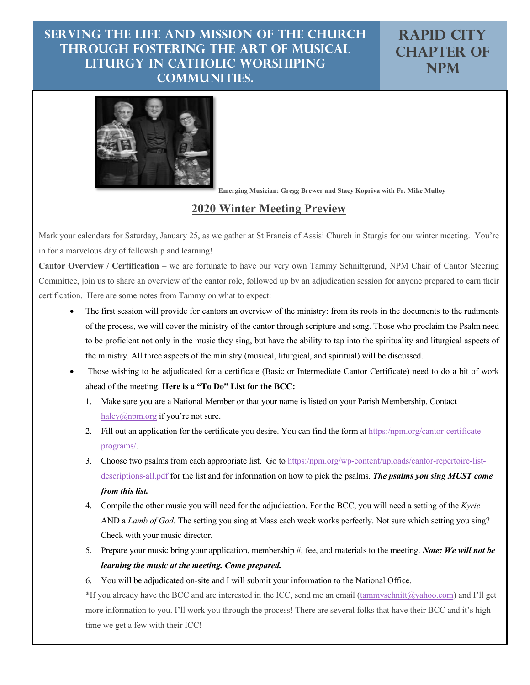**Rapid City CHAPTER OF NPM**



**Emerging Musician: Gregg Brewer and Stacy Kopriva with Fr. Mike Mulloy**

#### **2020 Winter Meeting Preview**

Mark your calendars for Saturday, January 25, as we gather at St Francis of Assisi Church in Sturgis for our winter meeting. You're in for a marvelous day of fellowship and learning!

**Cantor Overview / Certification** – we are fortunate to have our very own Tammy Schnittgrund, NPM Chair of Cantor Steering Committee, join us to share an overview of the cantor role, followed up by an adjudication session for anyone prepared to earn their certification. Here are some notes from Tammy on what to expect:

- The first session will provide for cantors an overview of the ministry: from its roots in the documents to the rudiments of the process, we will cover the ministry of the cantor through scripture and song. Those who proclaim the Psalm need to be proficient not only in the music they sing, but have the ability to tap into the spirituality and liturgical aspects of the ministry. All three aspects of the ministry (musical, liturgical, and spiritual) will be discussed.
- Those wishing to be adjudicated for a certificate (Basic or Intermediate Cantor Certificate) need to do a bit of work ahead of the meeting. **Here is a "To Do" List for the BCC:**
	- 1. Make sure you are a National Member or that your name is listed on your Parish Membership. Contact haley@npm.org if you're not sure.
	- 2. Fill out an application for the certificate you desire. You can find the form at https:/npm.org/cantor-certificateprograms/.
	- 3. Choose two psalms from each appropriate list. Go to https:/npm.org/wp-content/uploads/cantor-repertoire-listdescriptions-all.pdf for the list and for information on how to pick the psalms. *The psalms you sing MUST come from this list.*
	- 4. Compile the other music you will need for the adjudication. For the BCC, you will need a setting of the *Kyrie* AND a *Lamb of God*. The setting you sing at Mass each week works perfectly. Not sure which setting you sing? Check with your music director.
	- 5. Prepare your music bring your application, membership #, fee, and materials to the meeting. *Note: We will not be learning the music at the meeting. Come prepared.*
	- 6. You will be adjudicated on-site and I will submit your information to the National Office.

\*If you already have the BCC and are interested in the ICC, send me an email (tammyschnitt@yahoo.com) and I'll get more information to you. I'll work you through the process! There are several folks that have their BCC and it's high time we get a few with their ICC!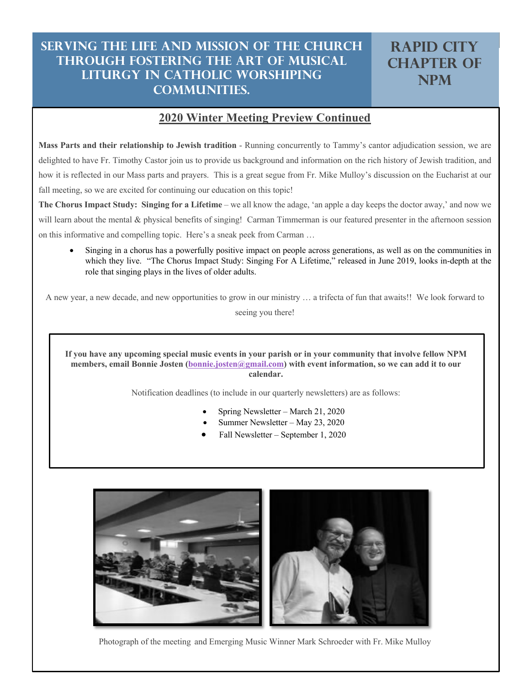#### **2020 Winter Meeting Preview Continued**

**Mass Parts and their relationship to Jewish tradition** - Running concurrently to Tammy's cantor adjudication session, we are delighted to have Fr. Timothy Castor join us to provide us background and information on the rich history of Jewish tradition, and how it is reflected in our Mass parts and prayers. This is a great segue from Fr. Mike Mulloy's discussion on the Eucharist at our fall meeting, so we are excited for continuing our education on this topic!

**The Chorus Impact Study: Singing for a Lifetime** – we all know the adage, 'an apple a day keeps the doctor away,' and now we will learn about the mental & physical benefits of singing! Carman Timmerman is our featured presenter in the afternoon session on this informative and compelling topic. Here's a sneak peek from Carman …

• Singing in a chorus has a powerfully positive impact on people across generations, as well as on the communities in which they live. "The Chorus Impact Study: Singing For A Lifetime," released in June 2019, looks in-depth at the role that singing plays in the lives of older adults.

A new year, a new decade, and new opportunities to grow in our ministry … a trifecta of fun that awaits!! We look forward to

seeing you there!

**If you have any upcoming special music events in your parish or in your community that involve fellow NPM members, email Bonnie Josten (bonnie.josten@gmail.com) with event information, so we can add it to our calendar.**

Notification deadlines (to include in our quarterly newsletters) are as follows:

- Spring Newsletter March 21, 2020
- Summer Newsletter May 23, 2020
- Fall Newsletter September 1, 2020



Photograph of the meeting and Emerging Music Winner Mark Schroeder with Fr. Mike Mulloy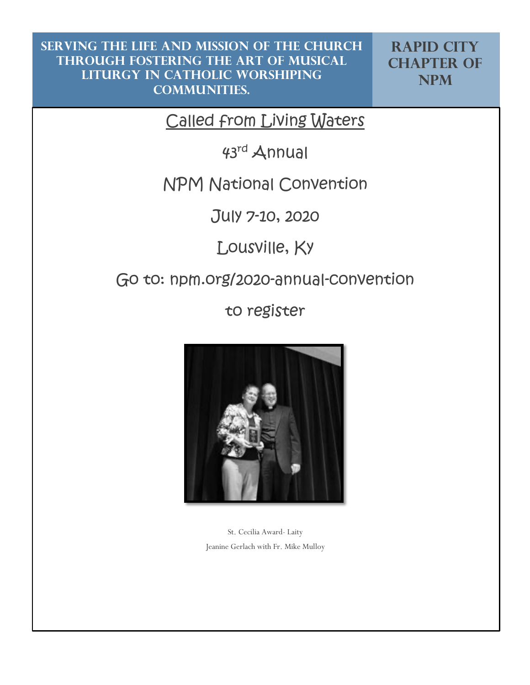**Rapid City CHAPTER OF NPM**

Called from Living Waters

43rd Annual

## NPM National Convention

July 7-10, 2020

Lousville, Ky

## Go to: npm.org/2020-annual-convention

to register



St. Cecilia Award- Laity Jeanine Gerlach with Fr. Mike Mulloy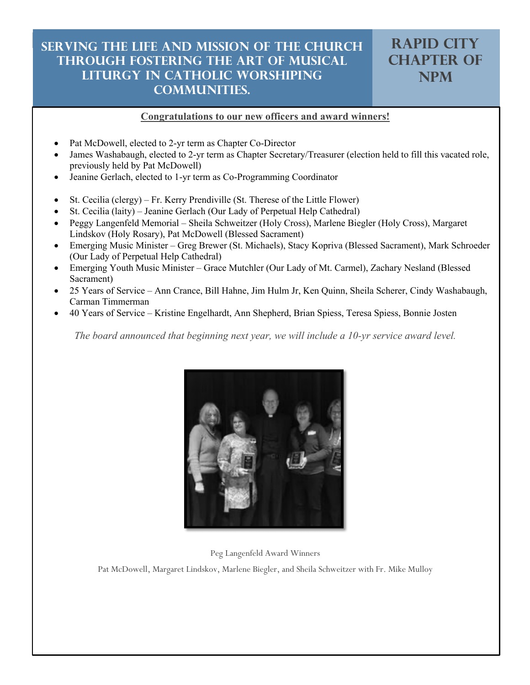## <sup>7</sup> **Serving the life and mission of the church Serving the life and mission of the church through fostering the art of musical through fostering the art of musical liturgy in Catholic worshiping liturgy in Catholic worshiping communities. communities.**

#### **Congratulations to our new officers and award winners!**

- Pat McDowell, elected to 2-yr term as Chapter Co-Director
- James Washabaugh, elected to 2-yr term as Chapter Secretary/Treasurer (election held to fill this vacated role, previously held by Pat McDowell)
- Jeanine Gerlach, elected to 1-yr term as Co-Programming Coordinator
- St. Cecilia (clergy) Fr. Kerry Prendiville (St. Therese of the Little Flower)
- St. Cecilia (laity) Jeanine Gerlach (Our Lady of Perpetual Help Cathedral)
- Peggy Langenfeld Memorial Sheila Schweitzer (Holy Cross), Marlene Biegler (Holy Cross), Margaret Lindskov (Holy Rosary), Pat McDowell (Blessed Sacrament)
- Emerging Music Minister Greg Brewer (St. Michaels), Stacy Kopriva (Blessed Sacrament), Mark Schroeder (Our Lady of Perpetual Help Cathedral)
- Emerging Youth Music Minister Grace Mutchler (Our Lady of Mt. Carmel), Zachary Nesland (Blessed Sacrament)
- 25 Years of Service Ann Crance, Bill Hahne, Jim Hulm Jr, Ken Quinn, Sheila Scherer, Cindy Washabaugh, Carman Timmerman
- 40 Years of Service Kristine Engelhardt, Ann Shepherd, Brian Spiess, Teresa Spiess, Bonnie Josten

*The board announced that beginning next year, we will include a 10-yr service award level.*



Peg Langenfeld Award Winners

Pat McDowell, Margaret Lindskov, Marlene Biegler, and Sheila Schweitzer with Fr. Mike Mulloy